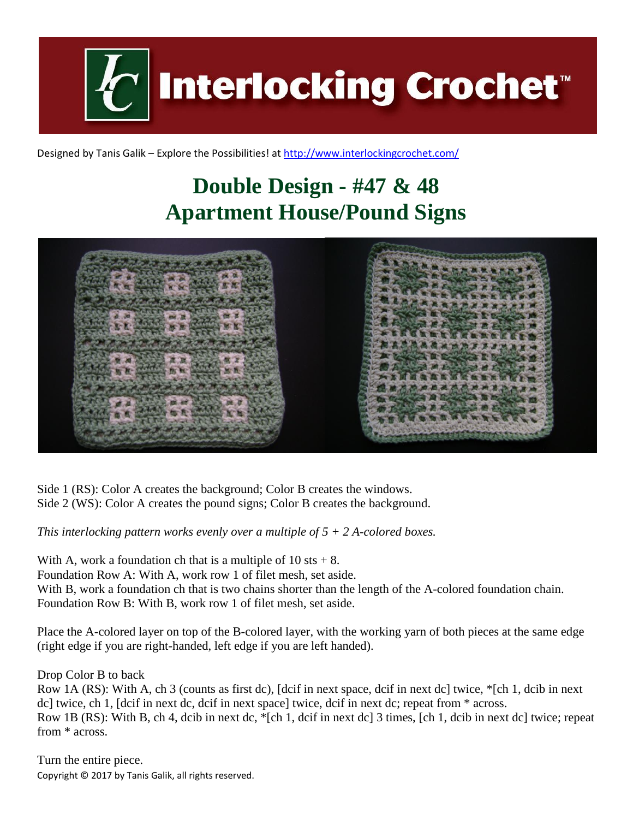**Interlocking Crochet** 

Designed by Tanis Galik – Explore the Possibilities! a[t http://www.interlockingcrochet.com/](http://www.interlockingcrochet.com/)

## **Double Design - #47 & 48 Apartment House/Pound Signs**



Side 1 (RS): Color A creates the background; Color B creates the windows. Side 2 (WS): Color A creates the pound signs; Color B creates the background.

*This interlocking pattern works evenly over a multiple of 5 + 2 A-colored boxes.*

With A, work a foundation ch that is a multiple of  $10 \text{ s}$ ts + 8. Foundation Row A: With A, work row 1 of filet mesh, set aside. With B, work a foundation ch that is two chains shorter than the length of the A-colored foundation chain. Foundation Row B: With B, work row 1 of filet mesh, set aside.

Place the A-colored layer on top of the B-colored layer, with the working yarn of both pieces at the same edge (right edge if you are right-handed, left edge if you are left handed).

Drop Color B to back

Row 1A (RS): With A, ch 3 (counts as first dc), [dcif in next space, dcif in next dc] twice, \*[ch 1, dcib in next dc] twice, ch 1, [dcif in next dc, dcif in next space] twice, dcif in next dc; repeat from \* across. Row 1B (RS): With B, ch 4, dcib in next dc, \*[ch 1, dcif in next dc] 3 times, [ch 1, dcib in next dc] twice; repeat from \* across.

Copyright © 2017 by Tanis Galik, all rights reserved. Turn the entire piece.